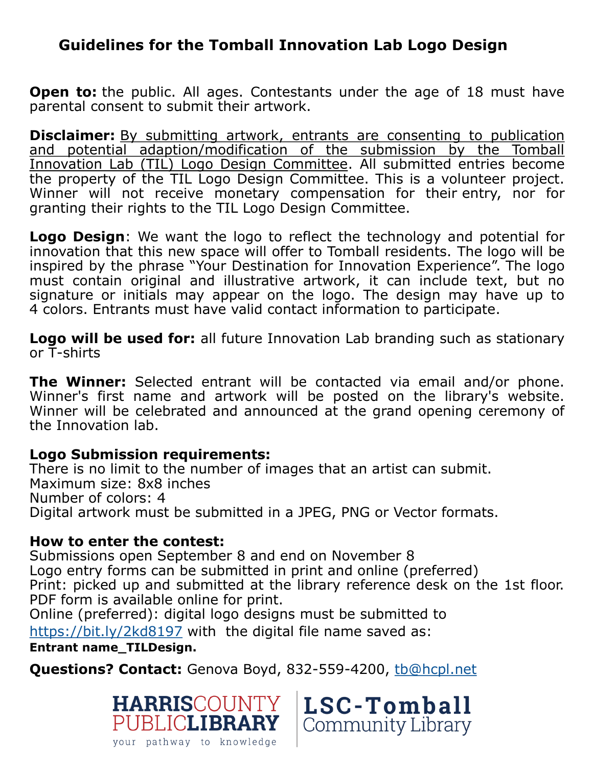## **Guidelines for the Tomball Innovation Lab Logo Design**

**Open to:** the public. All ages. Contestants under the age of 18 must have parental consent to submit their artwork.

**Disclaimer:** By submitting artwork, entrants are consenting to publication and potential adaption/modification of the submission by the Tomball Innovation Lab (TIL) Logo Design Committee. All submitted entries become the property of the TIL Logo Design Committee. This is a volunteer project. Winner will not receive monetary compensation for their entry, nor for granting their rights to the TIL Logo Design Committee.

**Logo Design**: We want the logo to reflect the technology and potential for innovation that this new space will offer to Tomball residents. The logo will be inspired by the phrase "Your Destination for Innovation Experience". The logo must contain original and illustrative artwork, it can include text, but no signature or initials may appear on the logo. The design may have up to 4 colors. Entrants must have valid contact information to participate.

**Logo will be used for:** all future Innovation Lab branding such as stationary or T-shirts

**The Winner:** Selected entrant will be contacted via email and/or phone. Winner's first name and artwork will be posted on the library's website. Winner will be celebrated and announced at the grand opening ceremony of the Innovation lab.

## **Logo Submission requirements:**

There is no limit to the number of images that an artist can submit. Maximum size: 8x8 inches Number of colors: 4 Digital artwork must be submitted in a JPEG, PNG or Vector formats.

## **How to enter the contest:**

Submissions open September 8 and end on November 8 Logo entry forms can be submitted in print and online (preferred) Print: picked up and submitted at the library reference desk on the 1st floor. PDF form is available online for print.

Online (preferred): digital logo designs must be submitted to <https://bit.ly/2kd8197> with the digital file name saved as: **Entrant name\_TILDesign.**

**Questions? Contact:** Genova Boyd, 832-559-4200, [tb@hcpl.net](mailto:tb@hcpl.net)